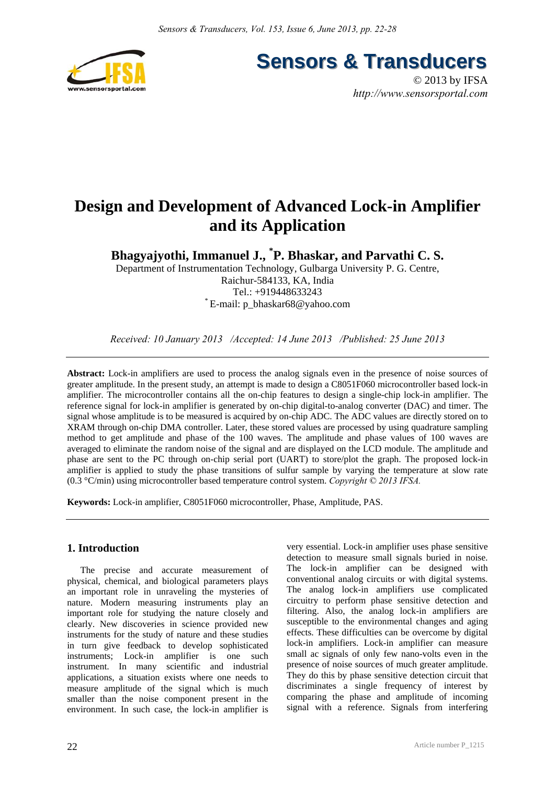

**Sensors & Transducers** 

© 2013 by IFSA *http://www.sensorsportal.com*

# **Design and Development of Advanced Lock-in Amplifier and its Application**

**Bhagyajyothi, Immanuel J., \* P. Bhaskar, and Parvathi C. S.** 

Department of Instrumentation Technology, Gulbarga University P. G. Centre, Raichur-584133, KA, India Tel.: +919448633243 \* E-mail: p\_bhaskar68@yahoo.com

*Received: 10 January 2013 /Accepted: 14 June 2013 /Published: 25 June 2013* 

**Abstract:** Lock-in amplifiers are used to process the analog signals even in the presence of noise sources of greater amplitude. In the present study, an attempt is made to design a C8051F060 microcontroller based lock-in amplifier. The microcontroller contains all the on-chip features to design a single-chip lock-in amplifier. The reference signal for lock-in amplifier is generated by on-chip digital-to-analog converter (DAC) and timer. The signal whose amplitude is to be measured is acquired by on-chip ADC. The ADC values are directly stored on to XRAM through on-chip DMA controller. Later, these stored values are processed by using quadrature sampling method to get amplitude and phase of the 100 waves. The amplitude and phase values of 100 waves are averaged to eliminate the random noise of the signal and are displayed on the LCD module. The amplitude and phase are sent to the PC through on-chip serial port (UART) to store/plot the graph. The proposed lock-in amplifier is applied to study the phase transitions of sulfur sample by varying the temperature at slow rate (0.3 °C/min) using microcontroller based temperature control system. *Copyright © 2013 IFSA.*

**Keywords:** Lock-in amplifier, C8051F060 microcontroller, Phase, Amplitude, PAS.

# **1. Introduction**

The precise and accurate measurement of physical, chemical, and biological parameters plays an important role in unraveling the mysteries of nature. Modern measuring instruments play an important role for studying the nature closely and clearly. New discoveries in science provided new instruments for the study of nature and these studies in turn give feedback to develop sophisticated instruments; Lock-in amplifier is one such instrument. In many scientific and industrial applications, a situation exists where one needs to measure amplitude of the signal which is much smaller than the noise component present in the environment. In such case, the lock-in amplifier is

22

very essential. Lock-in amplifier uses phase sensitive detection to measure small signals buried in noise. The lock-in amplifier can be designed with conventional analog circuits or with digital systems. The analog lock-in amplifiers use complicated circuitry to perform phase sensitive detection and filtering. Also, the analog lock-in amplifiers are susceptible to the environmental changes and aging effects. These difficulties can be overcome by digital lock-in amplifiers. Lock-in amplifier can measure small ac signals of only few nano-volts even in the presence of noise sources of much greater amplitude. They do this by phase sensitive detection circuit that discriminates a single frequency of interest by comparing the phase and amplitude of incoming signal with a reference. Signals from interfering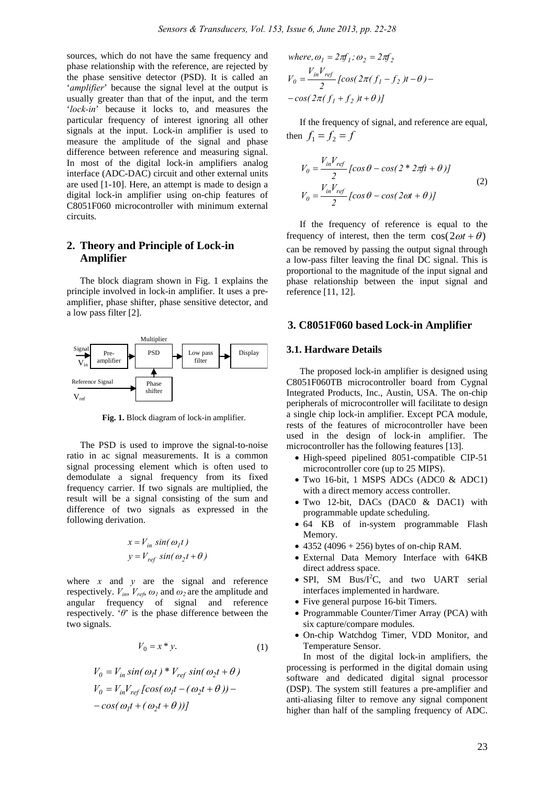sources, which do not have the same frequency and phase relationship with the reference, are rejected by the phase sensitive detector (PSD). It is called an '*amplifier*' because the signal level at the output is usually greater than that of the input, and the term '*lock-in*' because it locks to, and measures the particular frequency of interest ignoring all other signals at the input. Lock-in amplifier is used to measure the amplitude of the signal and phase difference between reference and measuring signal. In most of the digital lock-in amplifiers analog interface (ADC-DAC) circuit and other external units are used [1-10]. Here, an attempt is made to design a digital lock-in amplifier using on-chip features of C8051F060 microcontroller with minimum external circuits.

# **2. Theory and Principle of Lock-in Amplifier**

The block diagram shown in Fig. 1 explains the principle involved in lock-in amplifier. It uses a preamplifier, phase shifter, phase sensitive detector, and a low pass filter [2].



**Fig. 1.** Block diagram of lock-in amplifier.

The PSD is used to improve the signal-to-noise ratio in ac signal measurements. It is a common signal processing element which is often used to demodulate a signal frequency from its fixed frequency carrier. If two signals are multiplied, the result will be a signal consisting of the sum and difference of two signals as expressed in the following derivation.

$$
x = V_{in} \sin(\omega_1 t)
$$
  

$$
y = V_{ref} \sin(\omega_2 t + \theta)
$$

where  $x$  and  $y$  are the signal and reference respectively.  $V_{in}$ ,  $V_{ref}$ ,  $\omega_l$  and  $\omega_2$  are the amplitude and angular frequency of signal and reference respectively. '*θ*' is the phase difference between the two signals.

$$
V_0 = x * y. \tag{1}
$$

$$
V_0 = V_{in} \sin(\omega_1 t) * V_{ref} \sin(\omega_2 t + \theta)
$$
  
\n
$$
V_0 = V_{in} V_{ref} [\cos(\omega_1 t - (\omega_2 t + \theta)) - \cos(\omega_1 t + (\omega_2 t + \theta))]
$$

where, 
$$
\omega_1 = 2\pi f_1
$$
;  $\omega_2 = 2\pi f_2$   
\n
$$
V_0 = \frac{V_{in}V_{ref}}{2} \left[ cos(2\pi (f_1 - f_2)t - \theta) - cos(2\pi (f_1 + f_2)t + \theta) \right]
$$

If the frequency of signal, and reference are equal, then  $f_1 = f_2 = f$ 

$$
V_0 = \frac{V_{in}V_{ref}}{2} \left[ \cos \theta - \cos(2 \cdot 2\pi ft + \theta) \right]
$$
  
\n
$$
V_0 = \frac{V_{in}V_{ref}}{2} \left[ \cos \theta - \cos(2\omega t + \theta) \right]
$$
  
\n(2)

If the frequency of reference is equal to the frequency of interest, then the term  $\cos(2\omega t + \theta)$ can be removed by passing the output signal through a low-pass filter leaving the final DC signal. This is proportional to the magnitude of the input signal and phase relationship between the input signal and reference [11, 12].

#### **3. C8051F060 based Lock-in Amplifier**

#### **3.1. Hardware Details**

The proposed lock-in amplifier is designed using C8051F060TB microcontroller board from Cygnal Integrated Products, Inc., Austin, USA. The on-chip peripherals of microcontroller will facilitate to design a single chip lock-in amplifier. Except PCA module, rests of the features of microcontroller have been used in the design of lock-in amplifier. The microcontroller has the following features [13].

- High-speed pipelined 8051-compatible CIP-51 microcontroller core (up to 25 MIPS).
- Two 16-bit, 1 MSPS ADCs (ADC0 & ADC1) with a direct memory access controller.
- Two 12-bit, DACs (DAC0 & DAC1) with programmable update scheduling.
- 64 KB of in-system programmable Flash Memory.
- 4352 (4096 + 256) bytes of on-chip RAM.
- External Data Memory Interface with 64KB direct address space.
- SPI, SM Bus/I<sup>2</sup>C, and two UART serial interfaces implemented in hardware.
- Five general purpose 16-bit Timers.
- Programmable Counter/Timer Array (PCA) with six capture/compare modules.
- On-chip Watchdog Timer, VDD Monitor, and Temperature Sensor.

In most of the digital lock-in amplifiers, the processing is performed in the digital domain using software and dedicated digital signal processor (DSP). The system still features a pre-amplifier and anti-aliasing filter to remove any signal component higher than half of the sampling frequency of ADC.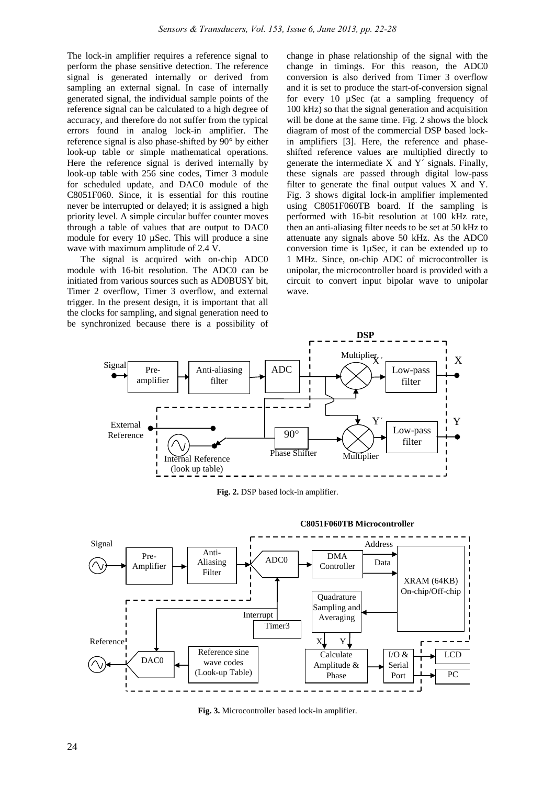The lock-in amplifier requires a reference signal to perform the phase sensitive detection. The reference signal is generated internally or derived from sampling an external signal. In case of internally generated signal, the individual sample points of the reference signal can be calculated to a high degree of accuracy, and therefore do not suffer from the typical errors found in analog lock-in amplifier. The reference signal is also phase-shifted by 90° by either look-up table or simple mathematical operations. Here the reference signal is derived internally by look-up table with 256 sine codes, Timer 3 module for scheduled update, and DAC0 module of the C8051F060. Since, it is essential for this routine never be interrupted or delayed; it is assigned a high priority level. A simple circular buffer counter moves through a table of values that are output to DAC0 module for every 10  $\mu$ Sec. This will produce a sine wave with maximum amplitude of 2.4 V.

The signal is acquired with on-chip ADC0 module with 16-bit resolution. The ADC0 can be initiated from various sources such as AD0BUSY bit, Timer 2 overflow, Timer 3 overflow, and external trigger. In the present design, it is important that all the clocks for sampling, and signal generation need to be synchronized because there is a possibility of change in phase relationship of the signal with the change in timings. For this reason, the ADC0 conversion is also derived from Timer 3 overflow and it is set to produce the start-of-conversion signal for every 10 µSec (at a sampling frequency of 100 kHz) so that the signal generation and acquisition will be done at the same time. Fig. 2 shows the block diagram of most of the commercial DSP based lockin amplifiers [3]. Here, the reference and phaseshifted reference values are multiplied directly to generate the intermediate  $X^{'}$  and  $Y^{'}$  signals. Finally, these signals are passed through digital low-pass filter to generate the final output values X and Y. Fig. 3 shows digital lock-in amplifier implemented using C8051F060TB board. If the sampling is performed with 16-bit resolution at 100 kHz rate, then an anti-aliasing filter needs to be set at 50 kHz to attenuate any signals above 50 kHz. As the ADC0 conversion time is 1µSec, it can be extended up to 1 MHz. Since, on-chip ADC of microcontroller is unipolar, the microcontroller board is provided with a circuit to convert input bipolar wave to unipolar wave.



**Fig. 2.** DSP based lock-in amplifier.



**Fig. 3.** Microcontroller based lock-in amplifier.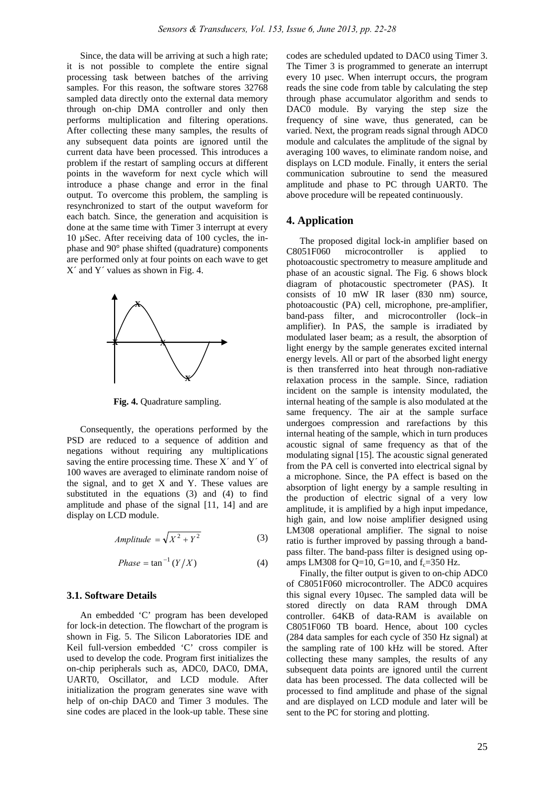Since, the data will be arriving at such a high rate; it is not possible to complete the entire signal processing task between batches of the arriving samples. For this reason, the software stores 32768 sampled data directly onto the external data memory through on-chip DMA controller and only then performs multiplication and filtering operations. After collecting these many samples, the results of any subsequent data points are ignored until the current data have been processed. This introduces a problem if the restart of sampling occurs at different points in the waveform for next cycle which will introduce a phase change and error in the final output. To overcome this problem, the sampling is resynchronized to start of the output waveform for each batch. Since, the generation and acquisition is done at the same time with Timer 3 interrupt at every 10 µSec. After receiving data of 100 cycles, the inphase and 90° phase shifted (quadrature) components are performed only at four points on each wave to get  $X'$  and  $Y'$  values as shown in Fig. 4.



**Fig. 4.** Quadrature sampling.

Consequently, the operations performed by the PSD are reduced to a sequence of addition and negations without requiring any multiplications saving the entire processing time. These  $X'$  and  $Y'$  of 100 waves are averaged to eliminate random noise of the signal, and to get X and Y. These values are substituted in the equations (3) and (4) to find amplitude and phase of the signal [11, 14] and are display on LCD module.

$$
Amplitude = \sqrt{X^2 + Y^2}
$$
 (3)

$$
Phase = \tan^{-1}(Y/X) \tag{4}
$$

#### **3.1. Software Details**

An embedded 'C' program has been developed for lock-in detection. The flowchart of the program is shown in Fig. 5. The Silicon Laboratories IDE and Keil full-version embedded 'C' cross compiler is used to develop the code. Program first initializes the on-chip peripherals such as, ADC0, DAC0, DMA, UART0, Oscillator, and LCD module. After initialization the program generates sine wave with help of on-chip DAC0 and Timer 3 modules. The sine codes are placed in the look-up table. These sine

codes are scheduled updated to DAC0 using Timer 3. The Timer 3 is programmed to generate an interrupt every 10 µsec. When interrupt occurs, the program reads the sine code from table by calculating the step through phase accumulator algorithm and sends to DAC0 module. By varying the step size the frequency of sine wave, thus generated, can be varied. Next, the program reads signal through ADC0 module and calculates the amplitude of the signal by averaging 100 waves, to eliminate random noise, and displays on LCD module. Finally, it enters the serial communication subroutine to send the measured amplitude and phase to PC through UART0. The above procedure will be repeated continuously.

### **4. Application**

The proposed digital lock-in amplifier based on C8051F060 microcontroller is applied to photoacoustic spectrometry to measure amplitude and phase of an acoustic signal. The Fig. 6 shows block diagram of photacoustic spectrometer (PAS). It consists of 10 mW IR laser (830 nm) source, photoacoustic (PA) cell, microphone, pre-amplifier, band-pass filter, and microcontroller (lock–in amplifier). In PAS, the sample is irradiated by modulated laser beam; as a result, the absorption of light energy by the sample generates excited internal energy levels. All or part of the absorbed light energy is then transferred into heat through non-radiative relaxation process in the sample. Since, radiation incident on the sample is intensity modulated, the internal heating of the sample is also modulated at the same frequency. The air at the sample surface undergoes compression and rarefactions by this internal heating of the sample, which in turn produces acoustic signal of same frequency as that of the modulating signal [15]. The acoustic signal generated from the PA cell is converted into electrical signal by a microphone. Since, the PA effect is based on the absorption of light energy by a sample resulting in the production of electric signal of a very low amplitude, it is amplified by a high input impedance, high gain, and low noise amplifier designed using LM308 operational amplifier. The signal to noise ratio is further improved by passing through a bandpass filter. The band-pass filter is designed using opamps LM308 for  $Q=10$ ,  $G=10$ , and  $f_c=350$  Hz.

Finally, the filter output is given to on-chip ADC0 of C8051F060 microcontroller. The ADC0 acquires this signal every 10µsec. The sampled data will be stored directly on data RAM through DMA controller. 64KB of data-RAM is available on C8051F060 TB board. Hence, about 100 cycles (284 data samples for each cycle of 350 Hz signal) at the sampling rate of 100 kHz will be stored. After collecting these many samples, the results of any subsequent data points are ignored until the current data has been processed. The data collected will be processed to find amplitude and phase of the signal and are displayed on LCD module and later will be sent to the PC for storing and plotting.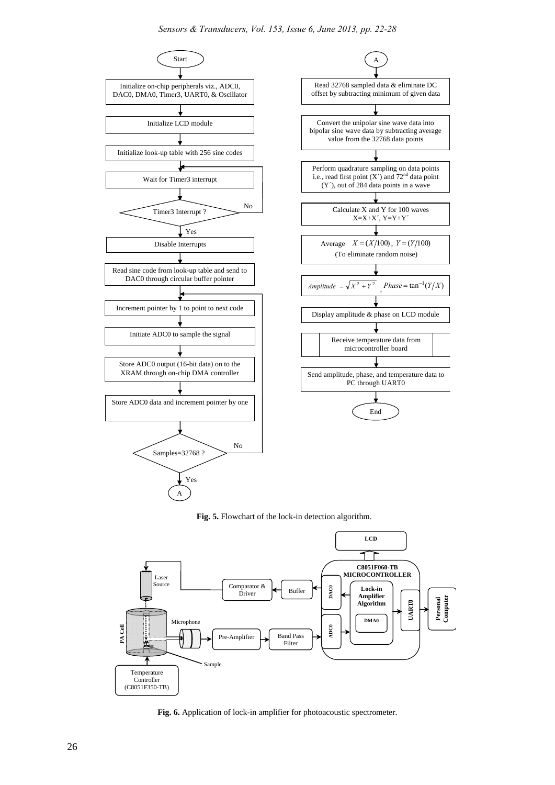

**Fig. 5.** Flowchart of the lock-in detection algorithm.



**Fig. 6.** Application of lock-in amplifier for photoacoustic spectrometer.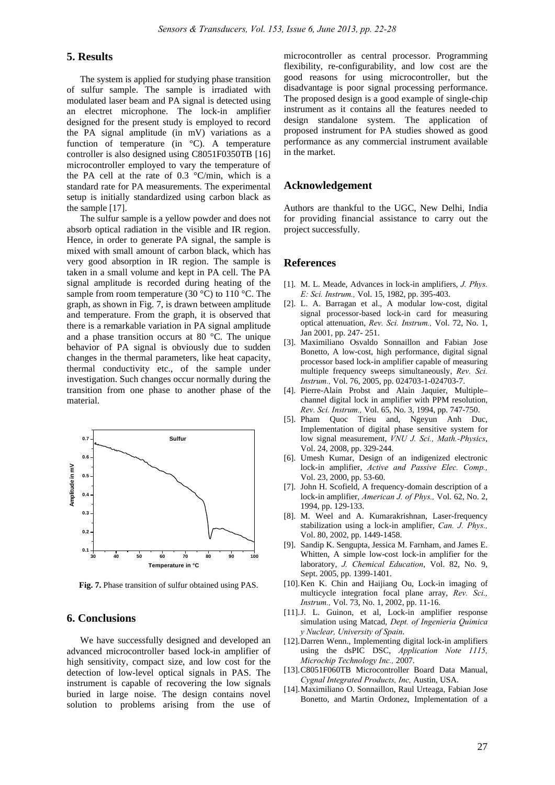# **5. Results**

The system is applied for studying phase transition of sulfur sample. The sample is irradiated with modulated laser beam and PA signal is detected using an electret microphone. The lock-in amplifier designed for the present study is employed to record the PA signal amplitude (in mV) variations as a function of temperature (in °C). A temperature controller is also designed using C8051F0350TB [16] microcontroller employed to vary the temperature of the PA cell at the rate of  $0.3$  °C/min, which is a standard rate for PA measurements. The experimental setup is initially standardized using carbon black as the sample [17].

The sulfur sample is a yellow powder and does not absorb optical radiation in the visible and IR region. Hence, in order to generate PA signal, the sample is mixed with small amount of carbon black, which has very good absorption in IR region. The sample is taken in a small volume and kept in PA cell. The PA signal amplitude is recorded during heating of the sample from room temperature (30  $^{\circ}$ C) to 110  $^{\circ}$ C. The graph, as shown in Fig. 7, is drawn between amplitude and temperature. From the graph, it is observed that there is a remarkable variation in PA signal amplitude and a phase transition occurs at 80 °C. The unique behavior of PA signal is obviously due to sudden changes in the thermal parameters, like heat capacity, thermal conductivity etc., of the sample under investigation. Such changes occur normally during the transition from one phase to another phase of the material.



**Fig. 7.** Phase transition of sulfur obtained using PAS.

## **6. Conclusions**

We have successfully designed and developed an advanced microcontroller based lock-in amplifier of high sensitivity, compact size, and low cost for the detection of low-level optical signals in PAS. The instrument is capable of recovering the low signals buried in large noise. The design contains novel solution to problems arising from the use of microcontroller as central processor. Programming flexibility, re-configurability, and low cost are the good reasons for using microcontroller, but the disadvantage is poor signal processing performance. The proposed design is a good example of single-chip instrument as it contains all the features needed to design standalone system. The application of proposed instrument for PA studies showed as good performance as any commercial instrument available in the market.

#### **Acknowledgement**

Authors are thankful to the UGC, New Delhi, India for providing financial assistance to carry out the project successfully.

#### **References**

- [1]. M. L. Meade, Advances in lock-in amplifiers, *J. Phys. E: Sci. Instrum.,* Vol. 15, 1982, pp. 395-403.
- [2]. L. A. Barragan et al., A modular low-cost, digital signal processor-based lock-in card for measuring optical attenuation, *Rev. Sci. Instrum.,* Vol. 72, No. 1, Jan 2001, pp. 247- 251.
- [3]. Maximiliano Osvaldo Sonnaillon and Fabian Jose Bonetto, A low-cost, high performance, digital signal processor based lock-in amplifier capable of measuring multiple frequency sweeps simultaneously, *Rev. Sci. Instrum.,* Vol. 76, 2005, pp. 024703-1-024703-7.
- [4]. Pierre-Alain Probst and Alain Jaquier, Multiple– channel digital lock in amplifier with PPM resolution, *Rev. Sci. Instrum.,* Vol. 65, No. 3, 1994, pp. 747-750.
- [5]. Pham Quoc Trieu and, Ngeyun Anh Duc, Implementation of digital phase sensitive system for low signal measurement, *VNU J. Sci., Math.-Physics*, Vol. 24, 2008, pp. 329-244.
- [6]. Umesh Kumar, Design of an indigenized electronic lock-in amplifier, *Active and Passive Elec. Comp.,* Vol. 23, 2000, pp. 53-60.
- [7]. John H. Scofield, A frequency-domain description of a lock-in amplifier, *American J. of Phys.,* Vol. 62, No. 2, 1994, pp. 129-133.
- [8]. M. Weel and A. Kumarakrishnan, Laser-frequency stabilization using a lock-in amplifier, *Can. J. Phys.,* Vol. 80, 2002, pp. 1449-1458.
- [9]. Sandip K. Sengupta, Jessica M. Farnham, and James E. Whitten, A simple low-cost lock-in amplifier for the laboratory, *J. Chemical Education*, Vol. 82, No. 9, Sept. 2005, pp. 1399-1401.
- [10].Ken K. Chin and Haijiang Ou, Lock-in imaging of multicycle integration focal plane array, *Rev. Sci., Instrum.,* Vol. 73, No. 1, 2002, pp. 11-16.
- [11].J. L. Guinon, et al, Lock-in amplifier response simulation using Matcad, *Dept. of Ingenieria Quimica y Nuclear, University of Spain*.
- [12].Darren Wenn., Implementing digital lock-in amplifiers using the dsPIC DSC, *Application Note 1115, Microchip Technology Inc.,* 2007.
- [13].C8051F060TB Microcontroller Board Data Manual, *Cygnal Integrated Products, Inc,* Austin, USA.
- [14].Maximiliano O. Sonnaillon, Raul Urteaga, Fabian Jose Bonetto, and Martin Ordonez, Implementation of a